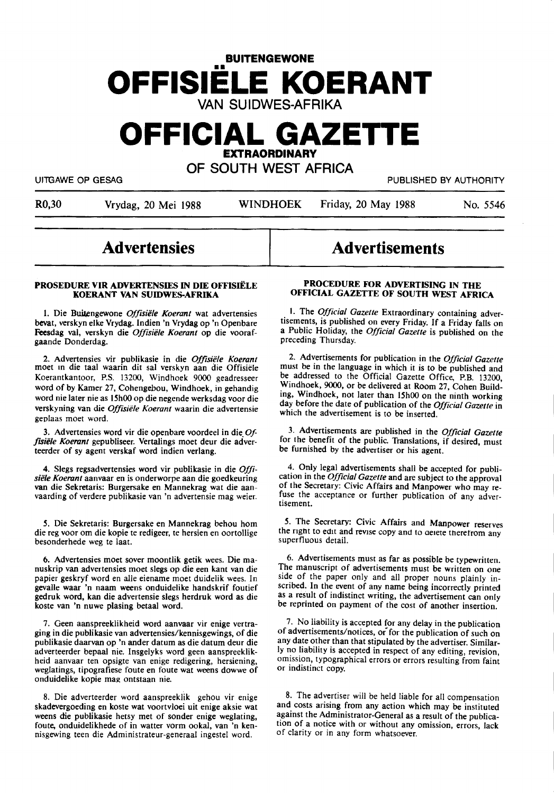# **BUITENGEWONE OFFISIELE KOERANT**  VAN SUIDWES-AFRIKA

# **OFFICIAL GAZETTE EXTRAORDINARY**

OF SOUTH WEST AFRICA

UITGAWE OP GESAG PUBLISHED BY AUTHORITY

R0,30 Vrydag, 20 Mei 1988 WINDHOEK Friday, 20 May 1988 No. *5546* 

# **Advertensies**

## **PROSEDURE VIR ADVERTENSIES** IN **DIE OFFISIELE KOERANT VAN SUIDWES-AFRIKA**

1. Die Buitengewone *Offisiële Koerant* wat advertensies bevat, verskyn elke Vrydag. Indien 'n Vrydag op 'n Openbare Feesdag val, verskyn die *Offisiele Koerant* op die voorafgaande Donderdag.

2. Advertensies vir publikasie in die *Offisiele Koerant*  moet m die taal waarin dit sal verskyn aan die Offisiele Koerantkantoor, P.S. 13200, Windhoek 9000 geadresseer word of by Kamer 27, Cohengebou, Windhoek, in gehandig word nie later nie as 15h00 op die negende werksdag voor die verskyning van die *Offisiele Koerant* waarin die advertensie geplaas moet word.

3. Advertensies word vir die openbare voordeel in die. *Of*fisiële Koerant gepubliseer. Vertalings moet deur die adverteerder of sy agent verskaf word indien verlang.

4. Slegs regsadvertensies word vir publikasie in die *Offisiele Koerant* aanvaar en is onderworpe aan die goedkeuring van die Sekretaris: Burgersake en Mannekrag wat die aanvaarding of verdere publikasie van 'n advertensie mag weier.

*S.* Die Sekretaris: Burgersake en Mannekrag behou horn die reg voor om die kopie te redigeer, te hersien en oortollige besonderhede weg te laat.

6. Advertensies moet sover moontlik getik wees. Die manuskrip van advertensies moet slegs op die een kant van die papier geskryf word en alle eiename moet duidelik wees. In gevalle waar 'n naam weens onduidelike handskrif foutief gedruk word, kan die advertensie slegs herdruk word as die koste van 'n nuwe plasing betaal word.

7. Geen aanspreeklikheid word aanvaar vir enige vertraging in die publikasie van advertensies/kennisgewings, of die publikasie daarvan op 'n ander datum as die datum deur die adverteerder bepaal nie. Insgelyks word geen aanspreeklikheid aanvaar ten opsigte van enige redigering, hersiening, weglatings, tipografiese foute en foute wat weens dowwe of onduidelike kopie mag ontstaan nie.

8. Die adverteerder word aanspreeklik gehou vir enige skadevergoeding en koste wat voortvloei uit enige aksie wat weens die publikasie hetsy met of sonder enige weglating, foute, onduidelikhede of in watter vorm ookal, van 'n kennisgewing teen die Administrateur-generaal ingestel word.

# **Advertisements**

# **PROCEDURE FOR ADVERTISING IN THE OFFICIAL GAZETTE OF SOUTH WEST AFRICA**

1. The *Official Gazette* Extraordinary containing advertisements, is published on every Friday. If a Friday falls on a Public Hobday, the *Official Gazette* is published on the preceding Thursday.

2. Advertisements for publication in the *Official Gazette*  must be in the language in which it is to be published and be addressed to the Official Gazette Office, **P.B.** 13200, Windhoek, 9000, or be delivered at Room 27, Cohen Building, Windhoek, not later than 15h00 on the ninth working day before the date of publication of the *Official Gazette* in which the advertisement is to be inserted.

3. Advertisements are published in the *Official Gazette*  for the benefit of the public. Translations, if desired, must be furnished by the advertiser or his agent.

4. Only legal advertisements shall be accepted for publication in the *Official Gazette* and are subject to the approval of the Secretary: Civic Affairs and Manpower who may refuse the acceptance or further publication of any advertisement.

5. The Secretary: Civic Affairs and Manpower reserves the right to edit and revise copy and to deiete therefrom any superfluous detail.

6. Advertisements must as far as possible be typewritten. The manuscript of advertisements must be written on one side of the paper only and all proper nouns plainly inscribed. In the event of any name being incorrectly printed as a result of indistinct writing, the advertisement can only be reprinted on payment of the cost of another insertion.

7. No liability is accepted for any delay in the publication of advertisements/notices, or for the publication of such on any date other than that stipulated by the advertiser. Similarly no liability is accepted in respect of any editing, revision, omission, typographical errors or errors resulting from faint or indistinct copy.

8. The advertiser will be held liable for all compensation and costs arising from any action which may be instituted against the Administrator-General as a result of the publication of a notice with or without any omission, errors, lack of clarity or in any form whatsoever.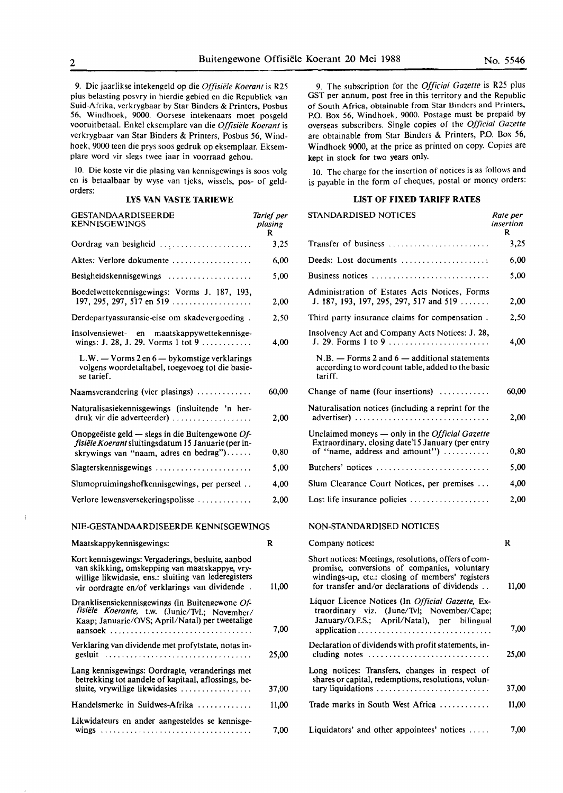9. Die jaarlikse intekengeld op die *Offisiele Koerant* is R25 plus belasting posvry in hierdie gebied en die Republiek van Suid-Afrika. verkrygbaar by Star Binders & **Printers,** Posbus **56,** Windhoek, 9000. Oorsese intekenaars moet posgeld vooruitbetaal. Enke! eksemplare van die *Offisiele Koerant* is verkrygbaar van Star Binders & Printers, Posbus 56, Windhoek, 9000 teen die prys soos gedruk op eksemplaar. Eksemplare word vir slegs twee iaar in voorraad gehou.

10. Die koste vir die plasing van kennisgewings is soos volg en is betaalbaar by wyse van tjeks, wissels, pos- of geldorders:

# **LYS VAN VASTE TARIEWE**

| <b>GESTANDAARDISEERDE</b><br><b>KENNISGEWINGS</b>                                                                                                    | Tarief per<br>plasing<br>R |
|------------------------------------------------------------------------------------------------------------------------------------------------------|----------------------------|
| Oordrag van besigheid                                                                                                                                | 3,25                       |
| Aktes: Verlore dokumente                                                                                                                             | 6,00                       |
| Besigheidskennisgewings                                                                                                                              | 5,00                       |
| Boedelwettekennisgewings: Vorms J. 187, 193,<br>197, 295, 297, 517 en 519                                                                            | 2,00                       |
| Derdepartyassuransie-eise om skadevergoeding.                                                                                                        | 2.50                       |
| Insolvensiewet- en maatskappywettekennisge-<br>wings: J. 28, J. 29. Vorms 1 tot 9                                                                    | 4.00                       |
| L.W. $-$ Vorms 2 en 6 $-$ by komstige verklarings<br>volgens woordetaltabel, toegevoeg tot die basie-<br>se tarief.                                  |                            |
| Naamsverandering (vier plasings)                                                                                                                     | 60,00                      |
| Naturalisasiekennisgewings (insluitende 'n her-<br>$druk$ vir die adverteerder)                                                                      | 2,00                       |
| Onopgeëiste geld — slegs in die Buitengewone $Of$ -<br>fisiële Koerant sluitingsdatum 15 Januarie (per in-<br>skrywings van "naam, adres en bedrag") | 0,80                       |
| Slagterskennisgewings                                                                                                                                | 5,00                       |
| Slumopruimingshofkennisgewings, per perseel                                                                                                          | 4.00                       |
| Verlore lewensversekeringspolisse                                                                                                                    | 2,00                       |
| NIE-GESTANDAARDISEERDE KENNISGEWINGS                                                                                                                 |                            |

| Maatskappykennisgewings:                                                                                                                                                                                       | R  |
|----------------------------------------------------------------------------------------------------------------------------------------------------------------------------------------------------------------|----|
| Kort kennisgewings: Vergaderings, besluite, aanbod<br>van skikking, omskepping van maatskappye, vry-<br>willige likwidasie, ens.: sluiting van lederegisters<br>vir oordragte en/of verklarings van dividende. | 11 |
| Dranklisensiekennisgewings (in Buitengewone Of-<br>fisiële Koerante, t.w. (Junie/Tvl.; November/<br>Kaap; Januarie/OVS; April/Natal) per tweetalige                                                            |    |
| Verklaring van dividende met profytstate, notas in-<br>gesluit $\ldots \ldots \ldots \ldots \ldots \ldots \ldots \ldots \ldots \ldots$                                                                         | 21 |
| Lang kennisgewings: Oordragte, veranderings met<br>betrekking tot aandele of kapitaal, aflossings, be-<br>sluite, vrywillige likwidasies                                                                       | 37 |
| Handelsmerke in Suidwes-Afrika                                                                                                                                                                                 | 11 |
| Likwidateurs en ander aangesteldes se kennisge-                                                                                                                                                                |    |

11,00

7,00

25,00

37,00 11,00

**7,00** 

9. The subscription for the *Official Gazette* is R25 plus GST per annum, post free in this territory and the Republic of South Africa, obtainable from Star Hinders and Printers, P.O. Box 56, Windhoek, 9000. Postage must be prepaid by overseas subscribers. Single copies of the *Official Gazette*  are obtainable from Star Binders & Printers, P.O. Box 56, Windhoek **9000,** at the price as printed on copy. Copies are kept in stock **for** two years only.

IO. The charge for the insertion of notices is as follows and is payable in the form of cheques, postal or money orders:

## **LIST OF FIXED TARIFF RATES**

| STANDARDISED NOTICES                                                                                                                                                                                      | Rate per<br>insertion<br>R |
|-----------------------------------------------------------------------------------------------------------------------------------------------------------------------------------------------------------|----------------------------|
| Transfer of business                                                                                                                                                                                      | 3,25                       |
| Deeds: Lost documents                                                                                                                                                                                     | 6,00                       |
| Business notices                                                                                                                                                                                          | 5,00                       |
| Administration of Estates Acts Notices, Forms<br>J. 187, 193, 197, 295, 297, 517 and 519                                                                                                                  | 2,00                       |
| Third party insurance claims for compensation.                                                                                                                                                            | 2,50                       |
| Insolvency Act and Company Acts Notices: J. 28,<br>J. 29. Forms 1 to 9                                                                                                                                    | 4,00                       |
| $N.B. -$ Forms 2 and 6 $-$ additional statements<br>according to word count table, added to the basic<br>tariff.                                                                                          |                            |
| Change of name (four insertions) $\dots\dots\dots\dots$                                                                                                                                                   | 60,00                      |
| Naturalisation notices (including a reprint for the<br>advertiser)                                                                                                                                        | 2,00                       |
| Unclaimed moneys - only in the Official Gazette<br>Extraordinary, closing date'l 5 January (per entry<br>of "name, address and amount")                                                                   | 0,80                       |
| Butchers' notices                                                                                                                                                                                         | 5,00                       |
| Slum Clearance Court Notices, per premises                                                                                                                                                                | 4,00                       |
| Lost life insurance policies                                                                                                                                                                              | 2,00                       |
| <b>NON-STANDARDISED NOTICES</b>                                                                                                                                                                           |                            |
| Company notices:                                                                                                                                                                                          | R                          |
| Short notices: Meetings, resolutions, offers of com-<br>promise, conversions of companies, voluntary<br>windings-up, etc.: closing of members' registers<br>for transfer and/or declarations of dividends | 11,00                      |
| Liquor Licence Notices (In Official Gazette, Ex-<br>traordinary viz. (June/Tvl; November/Cape;<br>January/O.F.S.; April/Natal), per bilingual                                                             | 7,00                       |
| Declaration of dividends with profit statements, in-<br>cluding notes                                                                                                                                     | 25,00                      |
| Long notices: Transfers, changes in respect of<br>shares or capital, redemptions, resolutions, volun-<br>tary liquidations                                                                                | 37,00                      |
| Trade marks in South West Africa                                                                                                                                                                          | 11,00                      |
| Liquidators' and other appointees' notices                                                                                                                                                                | 7,00                       |

 $\bar{1}$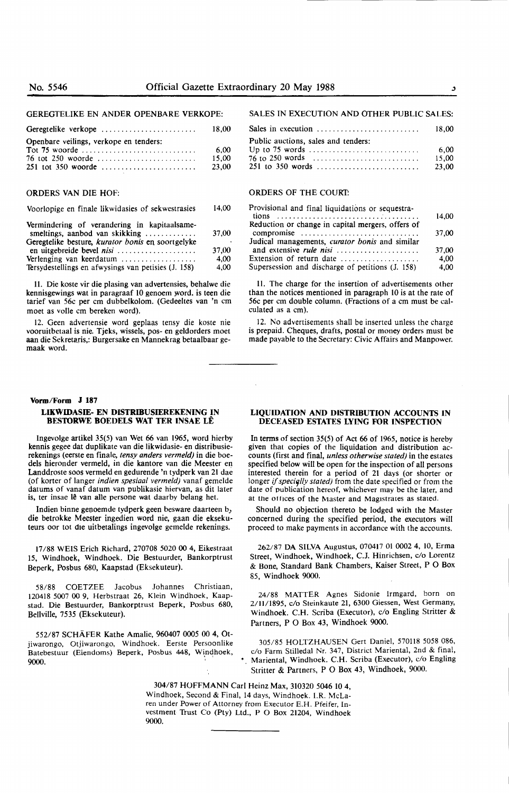### GEREGTELIKE EN ANDER OPENBARE VERKOPE:

Geregtelike verkope ......................... Openbare veilings, verkope en tenders:<br>Tot 75 woorde ................................ 18,00  $6,00$ 

|                      | 6.WJ  |
|----------------------|-------|
| 76 tot 250 woorde    | 15.00 |
| $251$ tot 350 woorde | 23,00 |

## ORDERS VAN DIE HOF:

Voorlopige en finale likwidasies of sekwestrasies 14,00

| Vermindering of verandering in kapitaalsame-<br>smeltings, aanbod van skikking | 37.00 |
|--------------------------------------------------------------------------------|-------|
| Geregtelike besture, kurator bonis en soortgelyke                              |       |
| en uitgebreide bevel nisi                                                      | 37.00 |
| Verlenging van keerdatum                                                       | 4.00  |
| Tersydestellings en afwysings van petisies (J. 158)                            | 4.00  |

11. Die koste vir die plasing van advertensies, behalwe die kennisgewings wat in paragraaf 10 genoem word. is teen die tarief van 56c per cm dubbelkolom. (Gedeeltes van 'n cm moet as voile cm bereken word).

12. Geen advertensie word geplaas tensy die koste nie vooruitbetaal is nie. Tjeks, wissels, pos- en geldorders moet aan die Sekretaris,: Burgersake en Mannekrag betaalbaar gemaak word.

#### **Vorm/Form J 187**

## **LI.KWIDASIE- EN DISTRIBUSIEREKENING IN BESTORWE BOEDELS WAT TER INSAE LÊ**

Ingevolge artikel 35(5) van Wet 66 van 1965, word hierby kennis gegee dat duplikate van die likwidasie- en distribusierekenings (eerste en finale, *tensy anders vermeld)* in die boedels hieronder vermeld, in die kantore van die Meester en Landdroste soos vermeld en gedurende 'n tydperk van 21 dae (of korter of langer *indien spesiaal vermeld)* vanaf gemelde datums of vanaf datum van publikasie hiervan, as dit later is, ter insae lê van alle persone wat daarby belang het.

lndien binne geooemde tydperk geen besware daarteen b, die betrokke Meester ingedien word nie, gaan die eksekuteurs oor tot die uitbetalings ingevolge gemelde rekenings.

17/88 WEIS Erich Richard, 270708 5020 00 4, Eikestraat 15, Windhoek, Windhoek. Die Bestuurder, Bankorptrust Beperk, Posbus 680, Kaapstad (Eksekuteur).

**58/88** COETZEE Jacobus Johannes Christiaan, 120418 5007 00 9, Herbstraat 26, Klein Windhoek, Kaapstad. Die Bestuurder, Bankorptrust Beperk, Posbus 680, Bellville, 7535 (Eksekuteur).

552/87 SCHAFER Kathe Amalie, 960407 **0005 00** 4, Otjiwarongo, Otjiwarongo, Windhoek. Eerste Persoonlike Batebestuur (Eiendoms) Beperk, Posbus 448, Windhoek,  $9000.$ 

#### SALES IN EXECUTION AND OTHER PUBLIC SALES:

|                                     | 18.00 |
|-------------------------------------|-------|
| Public auctions, sales and tenders: |       |
|                                     | 6.00  |
|                                     | 15.00 |
|                                     | 23.00 |

## ORDERS OF THE COURP.

| Provisional and final liquidations or sequestra-  |       |
|---------------------------------------------------|-------|
|                                                   | 14.00 |
| Reduction or change in capital mergers, offers of |       |
| compromise                                        | 37,00 |
| Judical managements, curator bonis and similar    |       |
| and extensive <i>rule nisi</i>                    | 37.00 |
| Extension of return date                          | 4.00  |
| Supersession and discharge of petitions (J. 158)  | 4.00  |

11. The charge for the insertion of advertisements other than the notices mentioned in paragraph 10 is at the rate of 56c per cm double column. (Fractions of a cm must be calculated as a cm).

12. No advertisements shall be inserted unless the charge is prepaid. Cheques, drafts, postal or money orders must be made payable to the Secretary: Civic Affairs and Manpower.

## **LIQUIDATION AND DISTRIBUTION ACCOUNTS IN DECEASED ESTATES LYING FOR INSPECTION**

In terms of section 35(5) of Act 66 of 1965, notice is hereby given that copies of the liquidation and distribution accounts (first and final, *unless otherwise stated)* in the estates specified below will be open for the inspection of all persons interested therein for a period of 21 days (or shorter or longer if *specially stated*) from the date specified or from the date of publication hereof, whichever may be the later, and at the offices of the Master and Magistrates as stated.

Should no objection thereto be lodged with the Master concerned during the specified period, the executors **will**  proceed to make payments in accordance with the accounts.

262/87 **DA** SILVA Augustus, 070417 01 0002 4, IO, Erma Street, Windhoek, Windhoek, C.J. Hinrichsen, c/o Lorentz & Bone, Standard Bank Chambers, Kaiser Street, P O Box 85, Windhoek 9000.

24/88 MATTER Agnes Sidonie Irmgard, born on 2/ll/1895, c/o Steinkaute 21, 6300 Giessen, West Germany, Windhoek. C.H. Scriba (Executor), c/o Engling Stritter & Partners, P O Box 43, Windhoek 9000.

305/85 HOLTZHAUSEN Gert Daniel, 570118 5058 086, c/o Farm Stilledal Nr. 347, District Mariental, 2nd & final, •. Mariental, Windhoek. C.H. Scriba (Executor), c/o Engling Stritter & Partners, P O Box 43, Windhoek, 9000.

304/87 HOFFMANN Carl Heinz Max, 310320 5046 10 4, Windhoek, Second & Final, 14 days, Windhoek. I.R. McLaren under Power of Attorney from Executor E.H. Pfeifer, Investment lrust Co (Pty) Ltd., P O Box 21204, Windhoek 9000.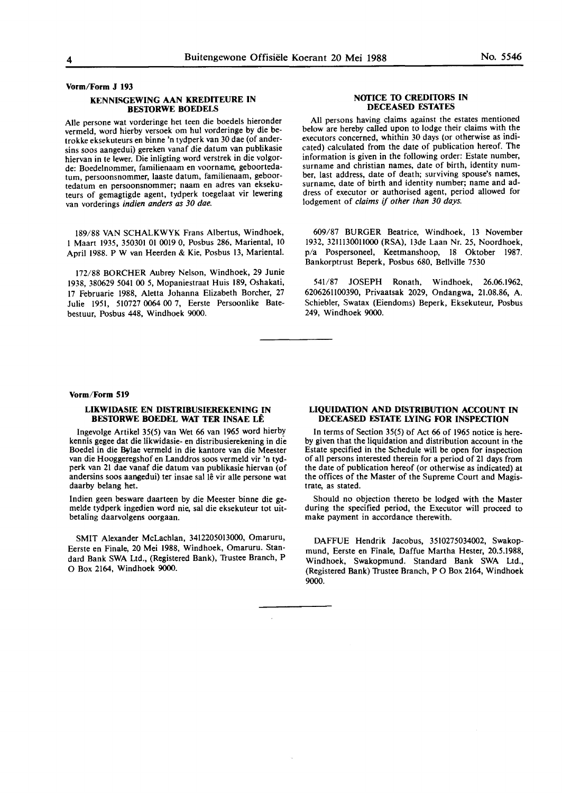Vorm/Form J 193

# **KENNISGEWING AAN KREDITEURE IN BES10RWE** BOEDELS

Alie persone wat vorderinge het teen die boedels hieronder vermeld, word hierby versoek om hul vorderinge by die betrokke eksekuteurs en binne 'n tydperk van 30 dae (of andersins soos aangedui) gereken vanaf die datum van publikasie hiervan in te lewer. Die inligting word verstrek in die volgorde: Boedelnommer, familienaam en voorname, geboortedatum, persoonsnommer, **laaste** datum, familienaam, **geboor**tedatum en **persoonsnommer;** naam en adres **van ekseku**teurs of gemagtigde agent, tydperk toegelaat vir lewering van vorderings **indien anders** as 30 dae.

189/88 **VAN SCHALKWYK** Frans Albertus, Windhoek, I Maart 1935, 350301 01 0019 0, Posbus 286, Mariental, 10 April 1988. P W van Heerden & **Kie,** Posbus 13, Mariental.

172/88 BORCHER Aubrey Nelson, Windhoek, 29 Junie 1938, 380629 5041 00 5, Mopaniestraat Huis 189, Oshakati, 17 Februarie **1988, Aletta** Johanna Elizabeth **Borcher,** 27 Julie 1951, 510727 0064 00 7, Eerste Persoonlike Batebestuur, Posbus 448, Windhoek 9000.

# **NOfICE 10 CRED110RS IN DECEASED ESTATES**

All persons having claims against the estates mentioned below are hereby called upon to lodge their claims with the executors concerned, whithin 30 days (or otherwise as indicated) calculated from the date of publication hereof. The information is given in the following order: Estate number, surname and christian names, date of birth, identity number, last address, date of death; surviving spouse's names, surname, date of birth and identity number; name and address of executor or authorised agent, period allowed for lodgement of claims if other than 30 days.

609/87 **BURGER** Beatrice, Windhoek, 13 November 1932, 32lll30011000 (RSA), 13de Laan Nr. 25, Noordhoek, p/a Pospersoneel, Keetmanshoop, 18 Oktober 1987. Bankorptrust Beperk, Posbus 680, Bellville 7530

541/87 JOSEPH Ronath, Windhoek, 26.06.1962, 6206261100390, **Privaatsak** 2029, Ondangwa, **21.08.86, A.**  Schiebler, Swatax (Eiendoms) Beperk, Eksekuteur, Posbus 249, Windhoek **9000.** 

### **Vorm/Form 519**

## **LIKWIDASIE EN DISTRIBUSIEREKENING IN BES10RWE ROEDEL WAT TER INSAE LE**

Ingevolge **Artikel** 35(5) van Wet 66 van 1965 word hierby kennis gegee dat die likwidasie- en distribusierekening in die Boedel in die Bylae vermeld in die kantore van die Meester van die Hooggeregshof **en** Landdros soos vermeld **vir 'n tyd**perk van 21 dae vanaf die datum van publikasie hiervan (of andersins soos aangedui) ter insae sal lê vir alle persone wat daarby belang het.

Indien geen besware daarteen by die Meester binne die gemelde tydperk ingedien word nie, sal die eksekuteur tot uitbetaling daarvolgens oorgaan.

SMIT Alexander McLachlan, 3412205013000, Omaruru, Eerste en Finale, 20 Mei 1988, Windhoek, Omaruru. Standard Bank SWA Ltd., (Registered Bank), Trustee Branch, P 0 Box 2164, Windhoek 9000.

## **LIQUIDATION AND DISTRIBUTION ACCOUNT IN DECEASED ESTATE LYING FOR INSPECTION**

In terms of Section 35(5) of Act 66 of 1965 notice is hereby given that the liquidation and distribution account in the Estate specified in the Schedule will be open for inspection of all persons interested therein for a period of 21 days from the date of publication hereof (or otherwise as indicated) at the offices of the Master of the Supreme Court and Magistrate, as stated.

Should no objection thereto be lodged with the Master during the specified period, the Executor will proceed to **make** payment in accordance therewith.

DAFFUE **Hendrik** Jacobus, 3510275034002, **Swakop**mund, Eerste **en Finale,** Daffue Martha **Hester, 20.5.1988,**  Windhoek, **Swakopmund.** Standard **Bank SWA Ltd.,**  (Registered **Bank) 'Irustee** Branch, P O Box **2164, Windhoek**  9000.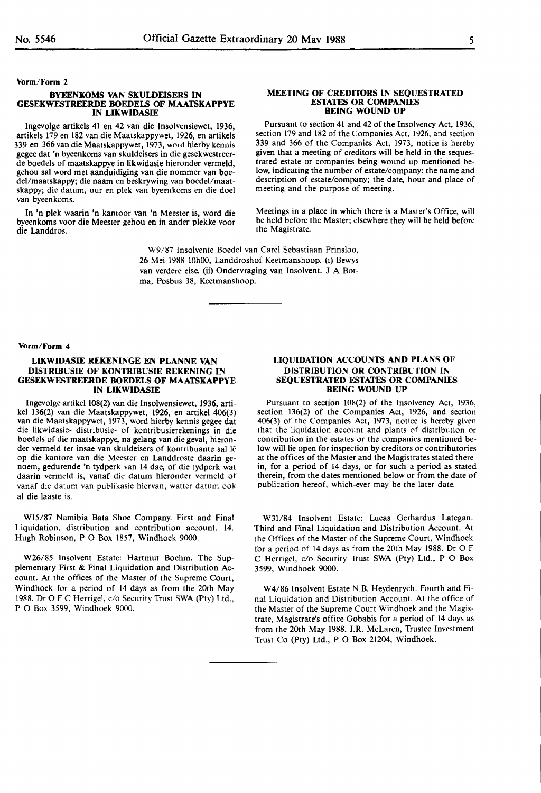**Vorm/Form 2** 

#### **BYEENKOMS VAN SKULDEISERS IN GESEKWESTREERDE BOEDELS OF MAATSKAPPYE IN LIKWIDASIE**

Ingevolge artikels 41 en 42 van die Insolvensiewet, 1936, artikels 179 en 182 van die Maatskappywet, 1926, en artikels 339 en 366 van die Maatskappywet, 1973, word hierby kennis gegee dat 'n byeenkoms van skuldeisers in die gesekwestreerde boedels of maatskappye in likwidasie hieronder vermeld, gehou sal word met aanduidiging van die nommer van boedel/maatskappy; die naam en beskrywing van boedel/maatskappy; die datum, uur en plek van byeenkoms en die doel van byeenkoms.

In 'n plek waarin 'n kantoor van 'n Meester is, word die byeenkoms voor die Meester gehou en in ander plekke voor die Landdros.

#### **MEETING OF CREDl'IORS IN SEQUESTRATED ESTATES OR COMPANIES BEING WOUND UP**

Pursuant to section 41 and 42 of the Insolvency Act, 1936, section 179 and 182 of the Companies Act, 1926, and section 339 and 366 of the Companies Act, 1973, notice is hereby given that a meeting of creditors will be held in the sequestrated estate or companies being wound up mentioned below, indicating the number of estate/company: the name and description of estate/company; the date, hour and place of meeting and the purpose of meeting.

Meetings in a place in which there is a Master's Office, will be held before the Master; elsewhere they will be held before the Magistrate.

W9/87 Insolvente Boedel van Carel Sebastiaan Prinsloo, 26 Mei 1988 10h00, Landdroshof Keetmanshoop. (i) Bewys van verdere eise. (ii) Ondervraging van Insolvent. J A Botma, Posbus 38, Keetmanshoop.

#### **Vorm/Form 4**

# **LIKWIDASIE KEKENINGE EN PLANNE VAN DISTRIBUSIE OF KONTRIBUSIE REKENING IN GESEKWESTREERDE BOEDELS OF MAATSKAPPYE IN LIKWIDASIE**

Ingevolge artikel 108(2) van die Insolwensiewet, 1936, artivan die Maatskappywet, 1973, word hierby kennis gegee dat die likwidasie- distribusie- of kontribusierekenings in die boedels of die maatskappye, na gelang van die geval, hieronder vermeld ter insae van skuldeisers of kontribuante sal lê op die kantore van die Meester en Landdroste daarin genoem, gedurende 'n tydperk van 14 dae, of die tydperk wat daarin vermeld is, vanaf die datum hieronder vermeld of vanaf die datum van publikasie hiervan, watter datum ook al die laaste is.

Wl5/87 Namibia Bata Shoe Company. First and Final Liquidation, distribution and contribution account. 14. Hugh Robinson, PO Box 1857, Windhoek 9000.

W26/85 Insolvent Estate: Hartmut Boehm. The Supplementary First & Final Liquidation and Distribution Account. At the offices of the Master of the Supreme Court, Windhoek for a period of 14 days as from the 20th May 1988. Dr O F C Herrigel, c/o Security Trust SWA (Pty) Ltd., P O Box 3599, Windhoek 9000.

# **LIQUIDATION ACCOUNTS AND PLANS OF DISTRIBUTION OR CONTRIBUTION IN SEQUESTRATED ESTATES OR COMPANIES BEING WOUND UP**

Pursuant to section 108(2) of the Insolvency Act, 1936, section 136(2) of the Companies Act, 1926, and section 406(3) of the Companies Act, 1973, notice is hereby **given**  that the liquidation account and plants of distribution or contribution in the estates or the companies mentioned below will lie open for inspection by creditors or contributories at the offices of the Master and the Magistrates stated therein, for a period of 14 days, or for such a period as stated therein, from the dates mentioned below or from the date of publication hereof, which-ever may be the later date.

W31/84 Insolvent Estate: Lucas Gerhardus Lategan. Third and Final Liquidation and Distribution Account. At the Offices of the Master of the Supreme Court, Windhoek for a period of 14 days as from the 20th May 1988. Dr O F C Herrigel, c/o Security 'Trust SWA (Pty) Ltd., P O Box 3599, Windhoek 9000.

W4/86 Insolvent Estate N.B. Heydenrych. Fourth and Final Liquidation and Distribution Account. At the office of the Master of the Supreme Court Windhoek and the Magistrate, Magistrate's office Gobabis for a period of 14 days as from the 20th May 1988. I.R. McLaren, Trustee Investment Trust Co (Pty) Ltd., P O Box 21204, Windhoek.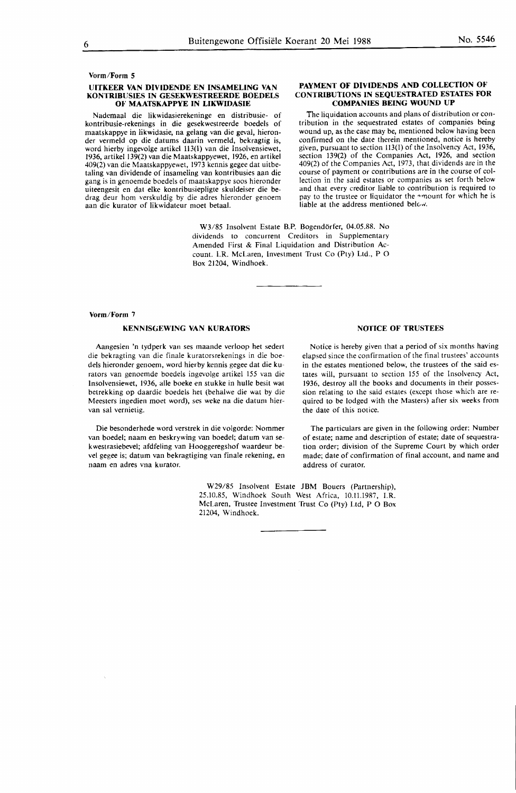## **Vorm/Form 5**

## **UITKEER VAN DIVIDENDE EN INSAMELING VAN KONTRIBUSIES IN GESEKWESTREERDE BOEDELS OF MAATSKAPPYE IN LIKWIDASIE**

Nademaal die Iikwidasierekeninge en distribusie- of kontribusie-rekenings in die gesekwestreerde boedels of maatskappye in likwidasie, na gelang van die geval, hieronder vermeld op die datums daarin vermeld, bekragtig is, word hierby ingevolge artikel 113(1) van die Insolvensiewet, 1936, artikel 139(2) van die Maatskappyewet, 1926, en artikel 409(2) van die Maatskappyewet, 1973 kennis gegee dat uitbetaling van dividende of insameling van kontribusies aan die gang is in genoemde boedels of maatskappye soos hieronder uiteengesit en dat elke kontribusiepligte skuldeiser die bedrag deur horn •verskuldig by die adres hieronder genoem aan die kurator of likwidateur moet betaal.

> W3/85 Insolvent Estate B.P. Bogendörfer, 04.05.88. No dividends to concurrent Creditors in Supplementary Amended First & Final Liquidation and Distribution Account. I.R. McLaren, Investment Trust Co (Pty) Ltd., P 0 Box 21204, Windhoek.

# **Vorm/Form** 7

# **KENNISGEWING VAN KURA10RS**

Aangesien 'n tydperk van ses maande verloop het sedert die bekragting van die finale kuratorsrekenings in die boedels hieronder genoem, word hierby kennis gegee dat die kurators van genoemde boedels ingevolge artikel 155 van die Insolvensiewet, 1936, alle boeke en stukke in hulle besit wat betrekking op daardie boedels het (behalwe die wat by die Meesters ingedien moet word), ses weke na die datum hiervan sal vernietig.

Die besonderhede word verstrek in die volgorde: Nommer van boedel; naam en beskrywing van boedel; datum van sekwestrasiebevel; afdfeling van Hooggeregshof waardeur bevel gegee is; datum van bekragtiging van finale rekening, en naam en adres vna kurator.

> W29/85 Insolvent Estate JBM Bouers (Partnership), 25.10.85, Windhoek South West Africa, 10.11.1987, I.R. McLaren, Trustee Investment Trust Co (Pty) Ltd, P O Box 21204, Windhoek.

# **NOTICE OF TRUSTEES**

Notice is hereby given that a period of six months having elapsed since the confirmation of the final trustees' accounts in the estates mentioned below, the trustees of the said estates will, pursuant to section 155 of the Insolvency Act, 1936, destroy all the books and documents in their possession relating to the said estates (except those which are required to be lodged with the Masters) after six weeks from the date of this notice.

The particulars are given in the following order: Number of estate; name and description of estate; date of sequestration order; division of the Supreme Court by which order made; date of confirmation of final account, and name and address of curator.

# **PAYMENT OF DIVIDENDS AND COLLECTION OF CONTRIBUTIONS IN SEQUESTRATED ESTATES FOR COMPANIES BEING WOUND UP**

The liquidation accounts and plans of distribution or contribution in the sequestrated estates of companies being wound up, as the case may be, mentioned below having been confirmed on the date therein mentioned, notice is hereby given, pursuant to section 113(1) of the Insolvency Act, 1936, section 139(2) of the Companies Act, 1926, and section 409(2) of the Companies Act, 1973, that dividends are in the course of payment or contributions are in the course of collection in the said estates or companies as set forth below and that every creditor liable to contribution is required to pay to the trustee or liquidator the amount for which he is liable at the address mentioned below.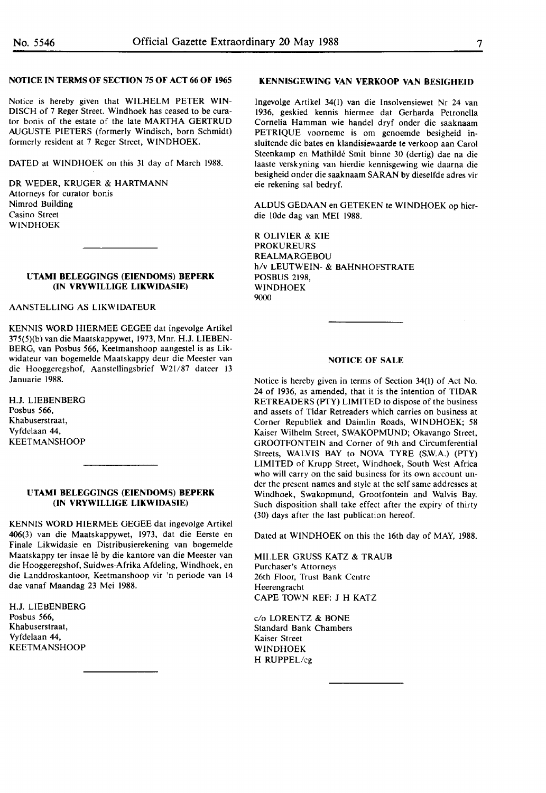# **NOfICE IN TERMS OF SECTION 75 OF ACT 66 OF 1965**

Notice is hereby given that WILHELM PETER WIN-DISCH of 7 Reger Street. Windhoek has ceased to be curator bonis of the estate of the late MARTHA GERTRUD AUGUSTE PIETERS (formerly Windisch, born Schmidt) formerly resident at 7 Reger Street, WINDHOEK.

DATED at WINDHOEK on this 31 day of March 1988.

DR WEDER, KRUGER & HARTMANN Attorneys for curator bonis Nimrod Building Casino Street WINDHOEK

## **UTAMI BELEGGINGS (EIENDOMS) BEPERK (IN VRYWILLIGE LIKWIDASIE)**

# AANSTELLING AS LIKWIDATEUR

KENNIS WORD HIERMEE GEGEE dat ingevolge Artikel 375(5)(b) van die Maatskappywet, 1973, Mnr. H.J. LIEBEN-BERG, van Posbus 566, Keetmanshoop aangestel is as Likwidateur van bogemelde Maatskappy deur die Meester van die Hooggeregshof, Aanstellingsbrief W2l/87 dateer 13 Januarie 1988.

**H.J.** LIEBENBERG Posbus *566,*  Khabuserstraat, Vyfdelaan 44, **KEETMANSHOOP** 

## **UTAMI BELEGGINGS (EIENDOMS) BEPERK (IN VRYWILLIGE LIKWIDASIE)**

KENNIS WORD HIERMEE GEGEE dat ingevolge Artikel 406(3) van die Maatskappywet, 1973, dat die Eerste en Finale Likwidasie en Distribusierekening van bogemelde Maatskappy ter insae lê by die kantore van die Meester van die Hooggeregshof, Suidwes-Afrika Afdeling, Windhoek, en die Landdroskantoor, Keetmanshoop vir 'n periode van 14 dae vanaf Maandag 23 Mei 1988.

H.J. LIEBENBERG Posbus 566, Khabuserstraat, Vyfdelaan 44, KEETMANSHOOP

#### **KENNISGEWING VAN VERKOOP VAN BESIGHEID**

lngevolge Artikel 34([) van die Insolvensiewet Nr 24 van 1936, geskied kennis hiermee dat Gerharda Petronella Cornelia Hamman wie handel dryf onder die saaknaam PETRIQUE voorneme is om genoemde besigheid insluitende die bates en klandisiewaarde te verkoop aan Carol Steenkamp en Mathilde Smit binne 30 (dertig) dae na die laaste verskyning van hierdie kennisgewing wie daarna die besigheid onder die saaknaam SARAN by dieselfde adres vir eie rekening sal bedryf.

ALDUS GEDAAN en GETEKEN te WINDHOEK op hierdie IOde dag van MEI **1988.** 

R OLIVIER & KIE PROKUREURS REALMARGEBOU h/v LEUTWEIN- & BAHNHOFSTRATE POSBUS 2198, WINDHOEK 9000

## **NOfICE OF SALE**

Notice is hereby given in terms of Section 34(1) of Act No. 24 of 1936, as amended, that it is the intention of TIDAR RETREADERS (PTY) LIMITED to dispose of the business and assets of Tidar Retreaders which carries on business at Corner Republiek and Daimlin Roads, WINDHOEK; 58 Kaiser Wilhelm Street, SWAKOPMUND; Okavango Street, GROOfFONTEIN and Corner of 9th and Circumferential Streets, **WALVIS** BAY to **NOVA** TYRE **(S.W.A.)** (PTY) LIMITED of Krupp Street, Windhoek, South West Africa who will carry on the said business for its own account under the present names and style at the self same addresses at Windhoek, Swakopmund, Grootfontein and Walvis Bay. Such disposition shall take effect after the expiry of thirty (30) days after the last publication hereof.

Dated at WINDHOEK on this the 16th day of **MAY,** 1988.

MILLER GRUSS KATZ & TRAUB Purchaser's Attorneys 26th Floor, Trust Bank Centre Heerengracht CAPE TOWN REF: J H KATZ

c/o LORENTZ & BONE Standard Bank Chambers Kaiser Street WINDHOEK H RUPPEL/cg